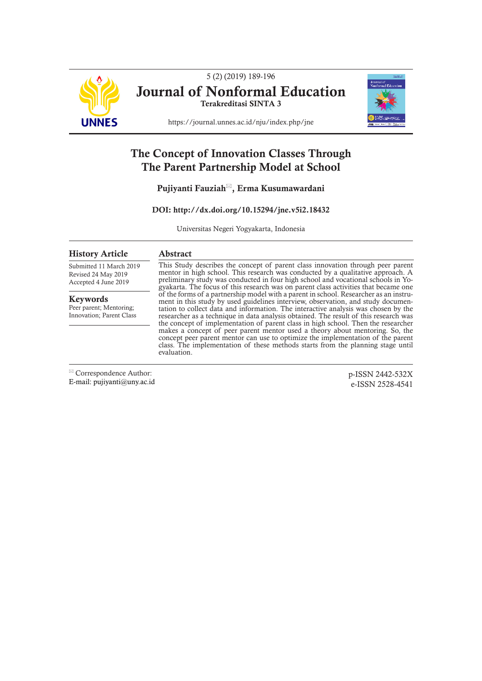

5 (2) (2019) 189-196 Journal of Nonformal Education Terakreditasi SINTA 3



https://journal.unnes.ac.id/nju/index.php/jne

# The Concept of Innovation Classes Through The Parent Partnership Model at School

Pujiyanti Fauziah<sup>⊠</sup>, Erma Kusumawardani

DOI: http://dx.doi.org/10.15294/jne.v5i2.18432

Universitas Negeri Yogyakarta, Indonesia

# History Article

Abstract

Submitted 11 March 2019 Revised 24 May 2019 Accepted 4 June 2019

Keywords Peer parent; Mentoring; Innovation; Parent Class

This Study describes the concept of parent class innovation through peer parent mentor in high school. This research was conducted by a qualitative approach. A preliminary study was conducted in four high school and vocational schools in Yogyakarta. The focus of this research was on parent class activities that became one of the forms of a partnership model with a parent in school. Researcher as an instruof the forms of a partnership model with a parent in school. Researcher as an instrument in this study by used guidelines interview, observation, and study documentation to collect data and information. The interactive ana researcher as a technique in data analysis obtained. The result of this research was the concept of implementation of parent class in high school. Then the researcher makes a concept of peer parent mentor used a theory about mentoring. So, the concept peer parent mentor can use to optimize the implementation of the parent class. The implementation of these methods starts from the planning stage until evaluation.

 Correspondence Author: E-mail: pujiyanti@uny.ac.id

p-ISSN 2442-532X e-ISSN 2528-4541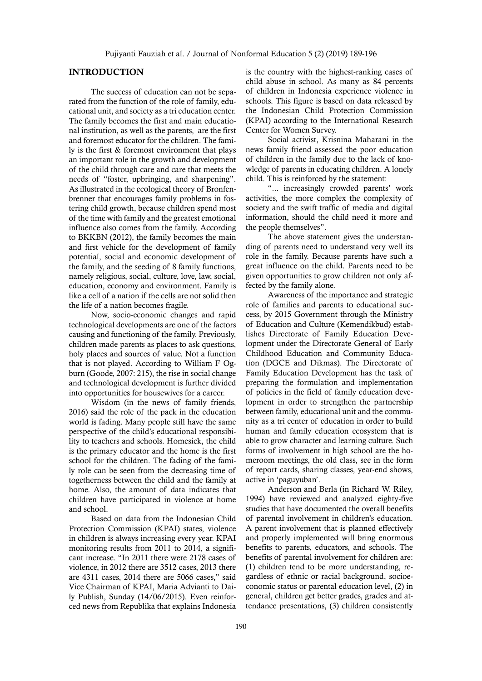# INTRODUCTION

The success of education can not be separated from the function of the role of family, educational unit, and society as a tri education center. The family becomes the first and main educational institution, as well as the parents, are the first and foremost educator for the children. The family is the first & foremost environment that plays an important role in the growth and development of the child through care and care that meets the needs of "foster, upbringing, and sharpening". As illustrated in the ecological theory of Bronfenbrenner that encourages family problems in fostering child growth, because children spend most of the time with family and the greatest emotional influence also comes from the family. According to BKKBN (2012), the family becomes the main and first vehicle for the development of family potential, social and economic development of the family, and the seeding of 8 family functions, namely religious, social, culture, love, law, social, education, economy and environment. Family is like a cell of a nation if the cells are not solid then the life of a nation becomes fragile.

Now, socio-economic changes and rapid technological developments are one of the factors causing and functioning of the family. Previously, children made parents as places to ask questions, holy places and sources of value. Not a function that is not played. According to William F Ogburn (Goode, 2007: 215), the rise in social change and technological development is further divided into opportunities for housewives for a career.

Wisdom (in the news of family friends, 2016) said the role of the pack in the education world is fading. Many people still have the same perspective of the child's educational responsibility to teachers and schools. Homesick, the child is the primary educator and the home is the first school for the children. The fading of the family role can be seen from the decreasing time of togetherness between the child and the family at home. Also, the amount of data indicates that children have participated in violence at home and school.

Based on data from the Indonesian Child Protection Commission (KPAI) states, violence in children is always increasing every year. KPAI monitoring results from 2011 to 2014, a significant increase. "In 2011 there were 2178 cases of violence, in 2012 there are 3512 cases, 2013 there are 4311 cases, 2014 there are 5066 cases," said Vice Chairman of KPAI, Maria Advianti to Daily Publish, Sunday (14/06/2015). Even reinforced news from Republika that explains Indonesia

is the country with the highest-ranking cases of child abuse in school. As many as 84 percents of children in Indonesia experience violence in schools. This figure is based on data released by the Indonesian Child Protection Commission (KPAI) according to the International Research Center for Women Survey.

Social activist, Krisnina Maharani in the news family friend assessed the poor education of children in the family due to the lack of knowledge of parents in educating children. A lonely child. This is reinforced by the statement:

"... increasingly crowded parents' work activities, the more complex the complexity of society and the swift traffic of media and digital information, should the child need it more and the people themselves".

The above statement gives the understanding of parents need to understand very well its role in the family. Because parents have such a great influence on the child. Parents need to be given opportunities to grow children not only affected by the family alone.

Awareness of the importance and strategic role of families and parents to educational success, by 2015 Government through the Ministry of Education and Culture (Kemendikbud) establishes Directorate of Family Education Development under the Directorate General of Early Childhood Education and Community Education (DGCE and Dikmas). The Directorate of Family Education Development has the task of preparing the formulation and implementation of policies in the field of family education development in order to strengthen the partnership between family, educational unit and the community as a tri center of education in order to build human and family education ecosystem that is able to grow character and learning culture. Such forms of involvement in high school are the homeroom meetings, the old class, see in the form of report cards, sharing classes, year-end shows, active in 'paguyuban'.

Anderson and Berla (in Richard W. Riley, 1994) have reviewed and analyzed eighty-five studies that have documented the overall benefits of parental involvement in children's education. A parent involvement that is planned effectively and properly implemented will bring enormous benefits to parents, educators, and schools. The benefits of parental involvement for children are: (1) children tend to be more understanding, regardless of ethnic or racial background, socioeconomic status or parental education level, (2) in general, children get better grades, grades and attendance presentations, (3) children consistently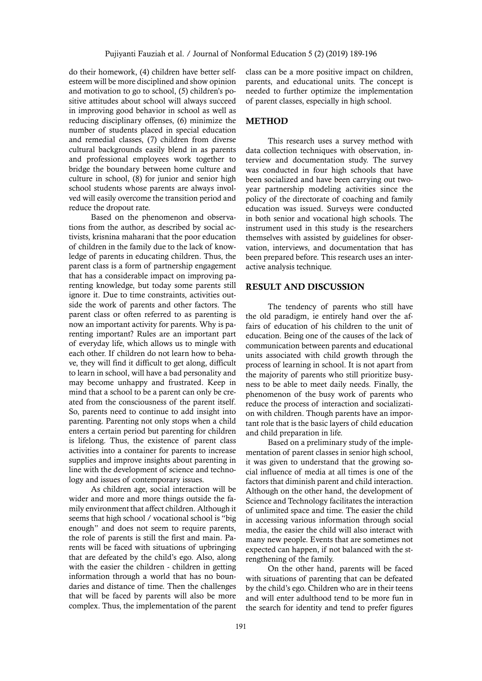do their homework, (4) children have better selfesteem will be more disciplined and show opinion and motivation to go to school, (5) children's positive attitudes about school will always succeed in improving good behavior in school as well as reducing disciplinary offenses, (6) minimize the number of students placed in special education and remedial classes, (7) children from diverse cultural backgrounds easily blend in as parents and professional employees work together to bridge the boundary between home culture and culture in school, (8) for junior and senior high school students whose parents are always involved will easily overcome the transition period and reduce the dropout rate.

Based on the phenomenon and observations from the author, as described by social activists, krisnina maharani that the poor education of children in the family due to the lack of knowledge of parents in educating children. Thus, the parent class is a form of partnership engagement that has a considerable impact on improving parenting knowledge, but today some parents still ignore it. Due to time constraints, activities outside the work of parents and other factors. The parent class or often referred to as parenting is now an important activity for parents. Why is parenting important? Rules are an important part of everyday life, which allows us to mingle with each other. If children do not learn how to behave, they will find it difficult to get along, difficult to learn in school, will have a bad personality and may become unhappy and frustrated. Keep in mind that a school to be a parent can only be created from the consciousness of the parent itself. So, parents need to continue to add insight into parenting. Parenting not only stops when a child enters a certain period but parenting for children is lifelong. Thus, the existence of parent class activities into a container for parents to increase supplies and improve insights about parenting in line with the development of science and technology and issues of contemporary issues.

As children age, social interaction will be wider and more and more things outside the family environment that affect children. Although it seems that high school / vocational school is "big enough" and does not seem to require parents, the role of parents is still the first and main. Parents will be faced with situations of upbringing that are defeated by the child's ego. Also, along with the easier the children - children in getting information through a world that has no boundaries and distance of time. Then the challenges that will be faced by parents will also be more complex. Thus, the implementation of the parent class can be a more positive impact on children, parents, and educational units. The concept is needed to further optimize the implementation of parent classes, especially in high school.

# **METHOD**

This research uses a survey method with data collection techniques with observation, interview and documentation study. The survey was conducted in four high schools that have been socialized and have been carrying out twoyear partnership modeling activities since the policy of the directorate of coaching and family education was issued. Surveys were conducted in both senior and vocational high schools. The instrument used in this study is the researchers themselves with assisted by guidelines for observation, interviews, and documentation that has been prepared before. This research uses an interactive analysis technique.

# RESULT AND DISCUSSION

The tendency of parents who still have the old paradigm, ie entirely hand over the affairs of education of his children to the unit of education. Being one of the causes of the lack of communication between parents and educational units associated with child growth through the process of learning in school. It is not apart from the majority of parents who still prioritize busyness to be able to meet daily needs. Finally, the phenomenon of the busy work of parents who reduce the process of interaction and socialization with children. Though parents have an important role that is the basic layers of child education and child preparation in life.

Based on a preliminary study of the implementation of parent classes in senior high school, it was given to understand that the growing social influence of media at all times is one of the factors that diminish parent and child interaction. Although on the other hand, the development of Science and Technology facilitates the interaction of unlimited space and time. The easier the child in accessing various information through social media, the easier the child will also interact with many new people. Events that are sometimes not expected can happen, if not balanced with the strengthening of the family.

On the other hand, parents will be faced with situations of parenting that can be defeated by the child's ego. Children who are in their teens and will enter adulthood tend to be more fun in the search for identity and tend to prefer figures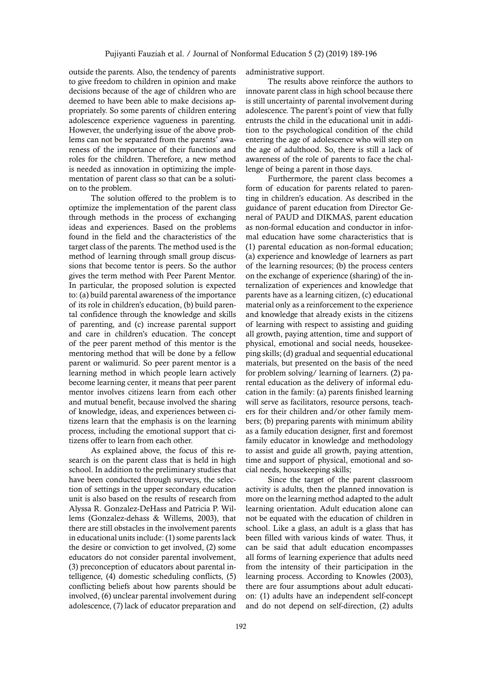outside the parents. Also, the tendency of parents to give freedom to children in opinion and make decisions because of the age of children who are deemed to have been able to make decisions appropriately. So some parents of children entering adolescence experience vagueness in parenting. However, the underlying issue of the above problems can not be separated from the parents' awareness of the importance of their functions and roles for the children. Therefore, a new method is needed as innovation in optimizing the implementation of parent class so that can be a solution to the problem.

The solution offered to the problem is to optimize the implementation of the parent class through methods in the process of exchanging ideas and experiences. Based on the problems found in the field and the characteristics of the target class of the parents. The method used is the method of learning through small group discussions that become tentor is peers. So the author gives the term method with Peer Parent Mentor. In particular, the proposed solution is expected to: (a) build parental awareness of the importance of its role in children's education, (b) build parental confidence through the knowledge and skills of parenting, and (c) increase parental support and care in children's education. The concept of the peer parent method of this mentor is the mentoring method that will be done by a fellow parent or walimurid. So peer parent mentor is a learning method in which people learn actively become learning center, it means that peer parent mentor involves citizens learn from each other and mutual benefit, because involved the sharing of knowledge, ideas, and experiences between citizens learn that the emphasis is on the learning process, including the emotional support that citizens offer to learn from each other.

As explained above, the focus of this research is on the parent class that is held in high school. In addition to the preliminary studies that have been conducted through surveys, the selection of settings in the upper secondary education unit is also based on the results of research from Alyssa R. Gonzalez-DeHass and Patricia P. Willems (Gonzalez-dehass & Willems, 2003), that there are still obstacles in the involvement parents in educational units include: (1) some parents lack the desire or conviction to get involved, (2) some educators do not consider parental involvement, (3) preconception of educators about parental intelligence, (4) domestic scheduling conflicts, (5) conflicting beliefs about how parents should be involved, (6) unclear parental involvement during adolescence, (7) lack of educator preparation and administrative support.

The results above reinforce the authors to innovate parent class in high school because there is still uncertainty of parental involvement during adolescence. The parent's point of view that fully entrusts the child in the educational unit in addition to the psychological condition of the child entering the age of adolescence who will step on the age of adulthood. So, there is still a lack of awareness of the role of parents to face the challenge of being a parent in those days.

Furthermore, the parent class becomes a form of education for parents related to parenting in children's education. As described in the guidance of parent education from Director General of PAUD and DIKMAS, parent education as non-formal education and conductor in informal education have some characteristics that is (1) parental education as non-formal education; (a) experience and knowledge of learners as part of the learning resources; (b) the process centers on the exchange of experience (sharing) of the internalization of experiences and knowledge that parents have as a learning citizen, (c) educational material only as a reinforcement to the experience and knowledge that already exists in the citizens of learning with respect to assisting and guiding all growth, paying attention, time and support of physical, emotional and social needs, housekeeping skills; (d) gradual and sequential educational materials, but presented on the basis of the need for problem solving/ learning of learners. (2) parental education as the delivery of informal education in the family: (a) parents finished learning will serve as facilitators, resource persons, teachers for their children and/or other family members; (b) preparing parents with minimum ability as a family education designer, first and foremost family educator in knowledge and methodology to assist and guide all growth, paying attention, time and support of physical, emotional and social needs, housekeeping skills;

Since the target of the parent classroom activity is adults, then the planned innovation is more on the learning method adapted to the adult learning orientation. Adult education alone can not be equated with the education of children in school. Like a glass, an adult is a glass that has been filled with various kinds of water. Thus, it can be said that adult education encompasses all forms of learning experience that adults need from the intensity of their participation in the learning process. According to Knowles (2003), there are four assumptions about adult education: (1) adults have an independent self-concept and do not depend on self-direction, (2) adults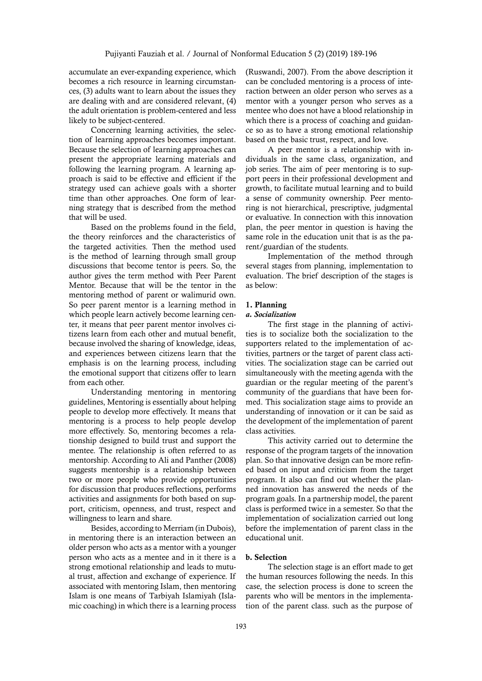accumulate an ever-expanding experience, which becomes a rich resource in learning circumstances, (3) adults want to learn about the issues they are dealing with and are considered relevant, (4) the adult orientation is problem-centered and less likely to be subject-centered.

Concerning learning activities, the selection of learning approaches becomes important. Because the selection of learning approaches can present the appropriate learning materials and following the learning program. A learning approach is said to be effective and efficient if the strategy used can achieve goals with a shorter time than other approaches. One form of learning strategy that is described from the method that will be used.

Based on the problems found in the field, the theory reinforces and the characteristics of the targeted activities. Then the method used is the method of learning through small group discussions that become tentor is peers. So, the author gives the term method with Peer Parent Mentor. Because that will be the tentor in the mentoring method of parent or walimurid own. So peer parent mentor is a learning method in which people learn actively become learning center, it means that peer parent mentor involves citizens learn from each other and mutual benefit, because involved the sharing of knowledge, ideas, and experiences between citizens learn that the emphasis is on the learning process, including the emotional support that citizens offer to learn from each other.

Understanding mentoring in mentoring guidelines, Mentoring is essentially about helping people to develop more effectively. It means that mentoring is a process to help people develop more effectively. So, mentoring becomes a relationship designed to build trust and support the mentee. The relationship is often referred to as mentorship. According to Ali and Panther (2008) suggests mentorship is a relationship between two or more people who provide opportunities for discussion that produces reflections, performs activities and assignments for both based on support, criticism, openness, and trust, respect and willingness to learn and share.

Besides, according to Merriam (in Dubois), in mentoring there is an interaction between an older person who acts as a mentor with a younger person who acts as a mentee and in it there is a strong emotional relationship and leads to mutual trust, affection and exchange of experience. If associated with mentoring Islam, then mentoring Islam is one means of Tarbiyah Islamiyah (Islamic coaching) in which there is a learning process (Ruswandi, 2007). From the above description it can be concluded mentoring is a process of interaction between an older person who serves as a mentor with a younger person who serves as a mentee who does not have a blood relationship in which there is a process of coaching and guidance so as to have a strong emotional relationship based on the basic trust, respect, and love.

A peer mentor is a relationship with individuals in the same class, organization, and job series. The aim of peer mentoring is to support peers in their professional development and growth, to facilitate mutual learning and to build a sense of community ownership. Peer mentoring is not hierarchical, prescriptive, judgmental or evaluative. In connection with this innovation plan, the peer mentor in question is having the same role in the education unit that is as the parent/guardian of the students.

Implementation of the method through several stages from planning, implementation to evaluation. The brief description of the stages is as below:

# 1. Planning

# *a. Socialization*

The first stage in the planning of activities is to socialize both the socialization to the supporters related to the implementation of activities, partners or the target of parent class activities. The socialization stage can be carried out simultaneously with the meeting agenda with the guardian or the regular meeting of the parent's community of the guardians that have been formed. This socialization stage aims to provide an understanding of innovation or it can be said as the development of the implementation of parent class activities.

This activity carried out to determine the response of the program targets of the innovation plan. So that innovative design can be more refined based on input and criticism from the target program. It also can find out whether the planned innovation has answered the needs of the program goals. In a partnership model, the parent class is performed twice in a semester. So that the implementation of socialization carried out long before the implementation of parent class in the educational unit.

### b. Selection

The selection stage is an effort made to get the human resources following the needs. In this case, the selection process is done to screen the parents who will be mentors in the implementation of the parent class. such as the purpose of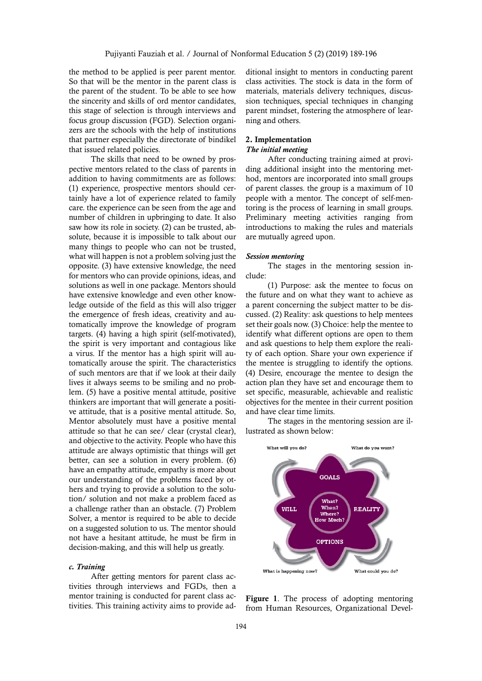the method to be applied is peer parent mentor. So that will be the mentor in the parent class is the parent of the student. To be able to see how the sincerity and skills of ord mentor candidates, this stage of selection is through interviews and focus group discussion (FGD). Selection organizers are the schools with the help of institutions that partner especially the directorate of bindikel that issued related policies.

The skills that need to be owned by prospective mentors related to the class of parents in addition to having commitments are as follows: (1) experience, prospective mentors should certainly have a lot of experience related to family care. the experience can be seen from the age and number of children in upbringing to date. It also saw how its role in society. (2) can be trusted, absolute, because it is impossible to talk about our many things to people who can not be trusted, what will happen is not a problem solving just the opposite. (3) have extensive knowledge, the need for mentors who can provide opinions, ideas, and solutions as well in one package. Mentors should have extensive knowledge and even other knowledge outside of the field as this will also trigger the emergence of fresh ideas, creativity and automatically improve the knowledge of program targets. (4) having a high spirit (self-motivated), the spirit is very important and contagious like a virus. If the mentor has a high spirit will automatically arouse the spirit. The characteristics of such mentors are that if we look at their daily lives it always seems to be smiling and no problem. (5) have a positive mental attitude, positive thinkers are important that will generate a positive attitude, that is a positive mental attitude. So, Mentor absolutely must have a positive mental attitude so that he can see/ clear (crystal clear), and objective to the activity. People who have this attitude are always optimistic that things will get better, can see a solution in every problem. (6) have an empathy attitude, empathy is more about our understanding of the problems faced by others and trying to provide a solution to the solution/ solution and not make a problem faced as a challenge rather than an obstacle. (7) Problem Solver, a mentor is required to be able to decide on a suggested solution to us. The mentor should not have a hesitant attitude, he must be firm in decision-making, and this will help us greatly.

#### *c. Training*

After getting mentors for parent class activities through interviews and FGDs, then a mentor training is conducted for parent class activities. This training activity aims to provide additional insight to mentors in conducting parent class activities. The stock is data in the form of materials, materials delivery techniques, discussion techniques, special techniques in changing parent mindset, fostering the atmosphere of learning and others.

#### 2. Implementation *The initial meeting*

After conducting training aimed at providing additional insight into the mentoring method, mentors are incorporated into small groups of parent classes. the group is a maximum of 10 people with a mentor. The concept of self-mentoring is the process of learning in small groups. Preliminary meeting activities ranging from introductions to making the rules and materials are mutually agreed upon.

#### *Session mentoring*

The stages in the mentoring session include:

(1) Purpose: ask the mentee to focus on the future and on what they want to achieve as a parent concerning the subject matter to be discussed. (2) Reality: ask questions to help mentees set their goals now. (3) Choice: help the mentee to identify what different options are open to them and ask questions to help them explore the reality of each option. Share your own experience if the mentee is struggling to identify the options. (4) Desire, encourage the mentee to design the action plan they have set and encourage them to set specific, measurable, achievable and realistic objectives for the mentee in their current position and have clear time limits.

The stages in the mentoring session are illustrated as shown below:



Figure 1. The process of adopting mentoring from Human Resources, Organizational Devel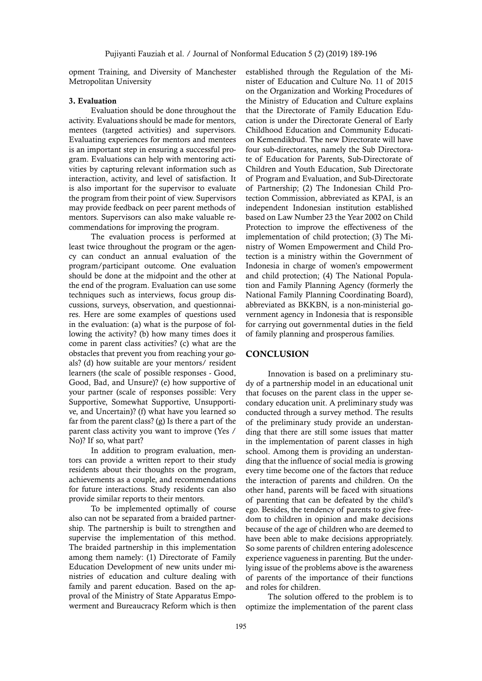opment Training, and Diversity of Manchester Metropolitan University

## 3. Evaluation

Evaluation should be done throughout the activity. Evaluations should be made for mentors, mentees (targeted activities) and supervisors. Evaluating experiences for mentors and mentees is an important step in ensuring a successful program. Evaluations can help with mentoring activities by capturing relevant information such as interaction, activity, and level of satisfaction. It is also important for the supervisor to evaluate the program from their point of view. Supervisors may provide feedback on peer parent methods of mentors. Supervisors can also make valuable recommendations for improving the program.

The evaluation process is performed at least twice throughout the program or the agency can conduct an annual evaluation of the program/participant outcome. One evaluation should be done at the midpoint and the other at the end of the program. Evaluation can use some techniques such as interviews, focus group discussions, surveys, observation, and questionnaires. Here are some examples of questions used in the evaluation: (a) what is the purpose of following the activity? (b) how many times does it come in parent class activities? (c) what are the obstacles that prevent you from reaching your goals? (d) how suitable are your mentors/ resident learners (the scale of possible responses - Good, Good, Bad, and Unsure)? (e) how supportive of your partner (scale of responses possible: Very Supportive, Somewhat Supportive, Unsupportive, and Uncertain)? (f) what have you learned so far from the parent class? (g) Is there a part of the parent class activity you want to improve (Yes / No)? If so, what part?

In addition to program evaluation, mentors can provide a written report to their study residents about their thoughts on the program, achievements as a couple, and recommendations for future interactions. Study residents can also provide similar reports to their mentors.

To be implemented optimally of course also can not be separated from a braided partnership. The partnership is built to strengthen and supervise the implementation of this method. The braided partnership in this implementation among them namely: (1) Directorate of Family Education Development of new units under ministries of education and culture dealing with family and parent education. Based on the approval of the Ministry of State Apparatus Empowerment and Bureaucracy Reform which is then established through the Regulation of the Minister of Education and Culture No. 11 of 2015 on the Organization and Working Procedures of the Ministry of Education and Culture explains that the Directorate of Family Education Education is under the Directorate General of Early Childhood Education and Community Education Kemendikbud. The new Directorate will have four sub-directorates, namely the Sub Directorate of Education for Parents, Sub-Directorate of Children and Youth Education, Sub Directorate of Program and Evaluation, and Sub-Directorate of Partnership; (2) The Indonesian Child Protection Commission, abbreviated as KPAI, is an independent Indonesian institution established based on Law Number 23 the Year 2002 on Child Protection to improve the effectiveness of the implementation of child protection; (3) The Ministry of Women Empowerment and Child Protection is a ministry within the Government of Indonesia in charge of women's empowerment and child protection; (4) The National Population and Family Planning Agency (formerly the National Family Planning Coordinating Board), abbreviated as BKKBN, is a non-ministerial government agency in Indonesia that is responsible for carrying out governmental duties in the field of family planning and prosperous families.

# **CONCLUSION**

Innovation is based on a preliminary study of a partnership model in an educational unit that focuses on the parent class in the upper secondary education unit. A preliminary study was conducted through a survey method. The results of the preliminary study provide an understanding that there are still some issues that matter in the implementation of parent classes in high school. Among them is providing an understanding that the influence of social media is growing every time become one of the factors that reduce the interaction of parents and children. On the other hand, parents will be faced with situations of parenting that can be defeated by the child's ego. Besides, the tendency of parents to give freedom to children in opinion and make decisions because of the age of children who are deemed to have been able to make decisions appropriately. So some parents of children entering adolescence experience vagueness in parenting. But the underlying issue of the problems above is the awareness of parents of the importance of their functions and roles for children.

The solution offered to the problem is to optimize the implementation of the parent class